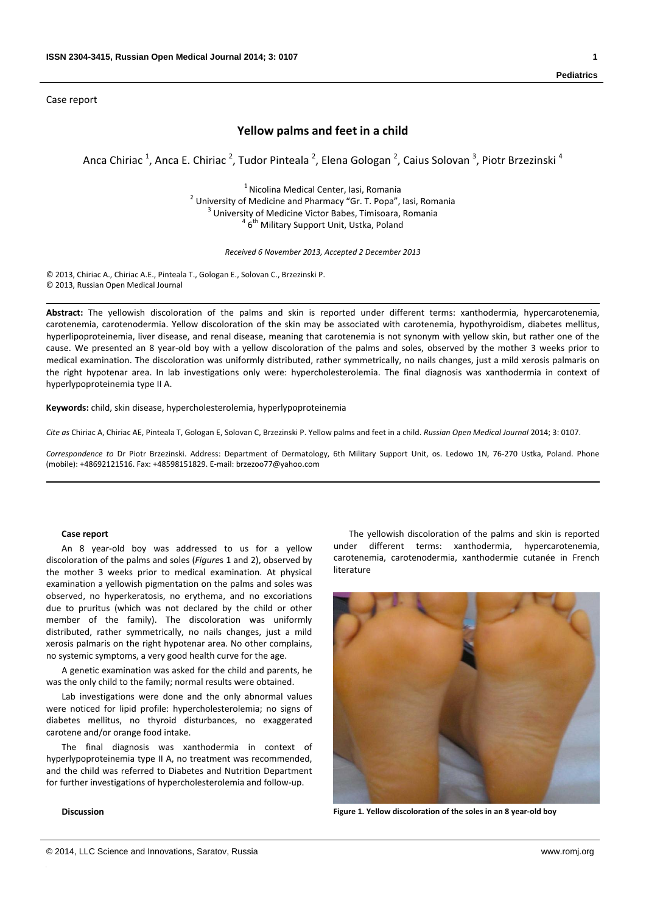Case report

# **Yellow palms and feet in a child**

Anca Chiriac <sup>1</sup>, Anca E. Chiriac <sup>2</sup>, Tudor Pinteala <sup>2</sup>, Elena Gologan <sup>2</sup>, Caius Solovan <sup>3</sup>, Piotr Brzezinski <sup>4</sup>

<sup>1</sup> Nicolina Medical Center, Iasi, Romania <sup>2</sup> University of Medicine and Pharmacy "Gr. T. Popa", Iasi, Romania <sup>3</sup> University of Medicine Victor Babes, Timisoara, Romania  $46<sup>th</sup>$  Military Support Unit. Ustka, Poland

*Received 6 November 2013, Accepted 2 December 2013*

© 2013, Chiriac A., Chiriac A.E., Pinteala T., Gologan E., Solovan C., Brzezinski P. © 2013, Russian Open Medical Journal

**Abstract:** The yellowish discoloration of the palms and skin is reported under different terms: xanthodermia, hypercarotenemia, carotenemia, carotenodermia. Yellow discoloration of the skin may be associated with carotenemia, hypothyroidism, diabetes mellitus, hyperlipoproteinemia, liver disease, and renal disease, meaning that carotenemia is not synonym with yellow skin, but rather one of the cause. We presented an 8 year‐old boy with a yellow discoloration of the palms and soles, observed by the mother 3 weeks prior to medical examination. The discoloration was uniformly distributed, rather symmetrically, no nails changes, just a mild xerosis palmaris on the right hypotenar area. In lab investigations only were: hypercholesterolemia. The final diagnosis was xanthodermia in context of hyperlypoproteinemia type II A.

**Keywords:** child, skin disease, hypercholesterolemia, hyperlypoproteinemia

*Cite as* Chiriac A, Chiriac AE, Pinteala T, Gologan E, Solovan C, Brzezinski P. Yellow palms and feet in a child. *Russian Open Medical Journal* 2014; 3: 0107.

*Correspondence to* Dr Piotr Brzezinski. Address: Department of Dermatology, 6th Military Support Unit, os. Ledowo 1N, 76‐270 Ustka, Poland. Phone (mobile): +48692121516. Fax: +48598151829. E‐mail: brzezoo77@yahoo.com

#### **Case report**

An 8 year‐old boy was addressed to us for a yellow discoloration of the palms and soles (*Figure*s 1 and 2), observed by the mother 3 weeks prior to medical examination. At physical examination a yellowish pigmentation on the palms and soles was observed, no hyperkeratosis, no erythema, and no excoriations due to pruritus (which was not declared by the child or other member of the family). The discoloration was uniformly distributed, rather symmetrically, no nails changes, just a mild xerosis palmaris on the right hypotenar area. No other complains, no systemic symptoms, a very good health curve for the age.

A genetic examination was asked for the child and parents, he was the only child to the family; normal results were obtained.

Lab investigations were done and the only abnormal values were noticed for lipid profile: hypercholesterolemia; no signs of diabetes mellitus, no thyroid disturbances, no exaggerated carotene and/or orange food intake.

The final diagnosis was xanthodermia in context of hyperlypoproteinemia type II A, no treatment was recommended, and the child was referred to Diabetes and Nutrition Department for further investigations of hypercholesterolemia and follow‐up.

## **Discussion**

The yellowish discoloration of the palms and skin is reported under different terms: xanthodermia, hypercarotenemia, carotenemia, carotenodermia, xanthodermie cutanée in French literature



**Figure 1. Yellow discoloration of the soles in an 8 year‐old boy**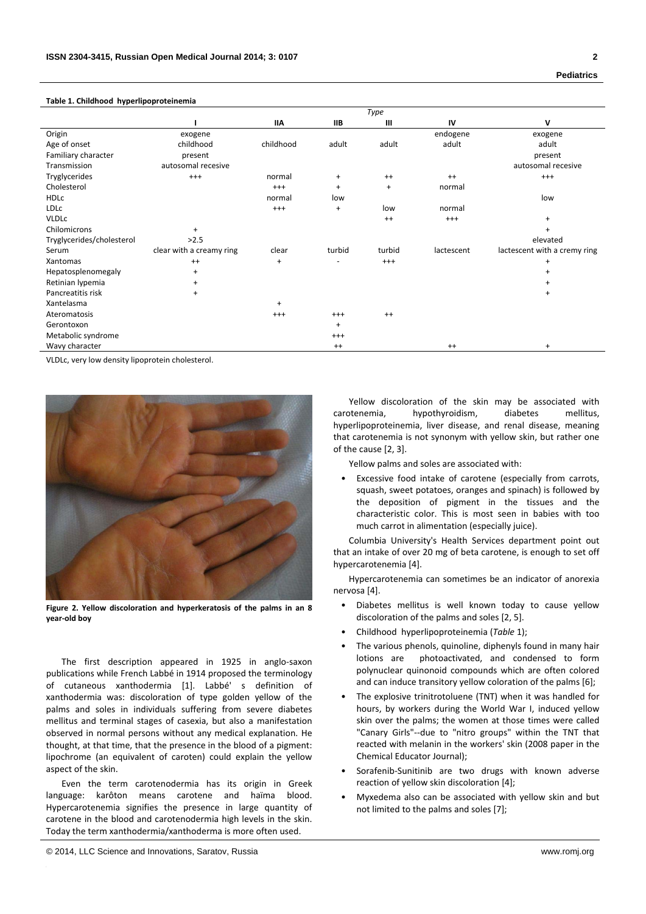### **Table 1. Childhood hyperlipoproteinemia**

|                           | Type                     |            |            |           |            |                              |
|---------------------------|--------------------------|------------|------------|-----------|------------|------------------------------|
|                           |                          | <b>IIA</b> | <b>IIB</b> | III       | IV         | v                            |
| Origin                    | exogene                  |            |            |           | endogene   | exogene                      |
| Age of onset              | childhood                | childhood  | adult      | adult     | adult      | adult                        |
| Familiary character       | present                  |            |            |           |            | present                      |
| Transmission              | autosomal recesive       |            |            |           |            | autosomal recesive           |
| Tryglycerides             | $^{+++}$                 | normal     | $\ddot{}$  | $^{++}$   | $^{++}$    | $^{+++}$                     |
| Cholesterol               |                          | $^{++}$    | $\ddot{}$  | $\ddot{}$ | normal     |                              |
| <b>HDLC</b>               |                          | normal     | low        |           |            | low                          |
| <b>LDLC</b>               |                          | $^{+++}$   | $\ddot{}$  | low       | normal     |                              |
| <b>VLDLC</b>              |                          |            |            | $^{++}$   | $^{+++}$   | $\ddot{}$                    |
| Chilomicrons              | $\ddot{}$                |            |            |           |            |                              |
| Tryglycerides/cholesterol | >2.5                     |            |            |           |            | elevated                     |
| Serum                     | clear with a creamy ring | clear      | turbid     | turbid    | lactescent | lactescent with a cremy ring |
| Xantomas                  | $^{++}$                  | $\ddot{}$  |            | $^{+++}$  |            | $\ddot{}$                    |
| Hepatosplenomegaly        | $\ddot{}$                |            |            |           |            |                              |
| Retinian lypemia          | $\ddot{}$                |            |            |           |            | $\pm$                        |
| Pancreatitis risk         | $\ddot{}$                |            |            |           |            | $\ddot{}$                    |
| Xantelasma                |                          | $+$        |            |           |            |                              |
| Ateromatosis              |                          | $^{+++}$   | $^{+++}$   | $^{++}$   |            |                              |
| Gerontoxon                |                          |            | $\ddot{}$  |           |            |                              |
| Metabolic syndrome        |                          |            | $^{+++}$   |           |            |                              |
| Wavy character            |                          |            | $^{++}$    |           | $^{++}$    | $\ddot{}$                    |

VLDLc, very low density lipoprotein cholesterol.



**Figure 2. Yellow discoloration and hyperkeratosis of the palms in an 8 year‐old boy**

The first description appeared in 1925 in anglo‐saxon publications while French Labbé in 1914 proposed the terminology of cutaneous xanthodermia [1]. Labbé' s definition of xanthodermia was: discoloration of type golden yellow of the palms and soles in individuals suffering from severe diabetes mellitus and terminal stages of casexia, but also a manifestation observed in normal persons without any medical explanation. He thought, at that time, that the presence in the blood of a pigment: lipochrome (an equivalent of caroten) could explain the yellow aspect of the skin.

Even the term carotenodermia has its origin in Greek language: karôton means carotene and haïma blood. Hypercarotenemia signifies the presence in large quantity of carotene in the blood and carotenodermia high levels in the skin. Today the term xanthodermia/xanthoderma is more often used.

Yellow discoloration of the skin may be associated with carotenemia, hypothyroidism, diabetes mellitus, hyperlipoproteinemia, liver disease, and renal disease, meaning that carotenemia is not synonym with yellow skin, but rather one of the cause [2, 3].

Yellow palms and soles are associated with:

Excessive food intake of carotene (especially from carrots, squash, sweet potatoes, oranges and spinach) is followed by the deposition of pigment in the tissues and the characteristic color. This is most seen in babies with too much carrot in alimentation (especially juice).

Columbia University's Health Services department point out that an intake of over 20 mg of beta carotene, is enough to set off hypercarotenemia [4].

Hypercarotenemia can sometimes be an indicator of anorexia nervosa [4].

- Diabetes mellitus is well known today to cause yellow discoloration of the palms and soles [2, 5].
- Childhood hyperlipoproteinemia (*Table* 1);
- The various phenols, quinoline, diphenyls found in many hair lotions are photoactivated, and condensed to form polynuclear quinonoid compounds which are often colored and can induce transitory yellow coloration of the palms [6];
- The explosive trinitrotoluene (TNT) when it was handled for hours, by workers during the World War I, induced yellow skin over the palms; the women at those times were called "Canary Girls"‐‐due to "nitro groups" within the TNT that reacted with melanin in the workers' skin (2008 paper in the Chemical Educator Journal);
- Sorafenib‐Sunitinib are two drugs with known adverse reaction of yellow skin discoloration [4];
- Myxedema also can be associated with yellow skin and but not limited to the palms and soles [7];